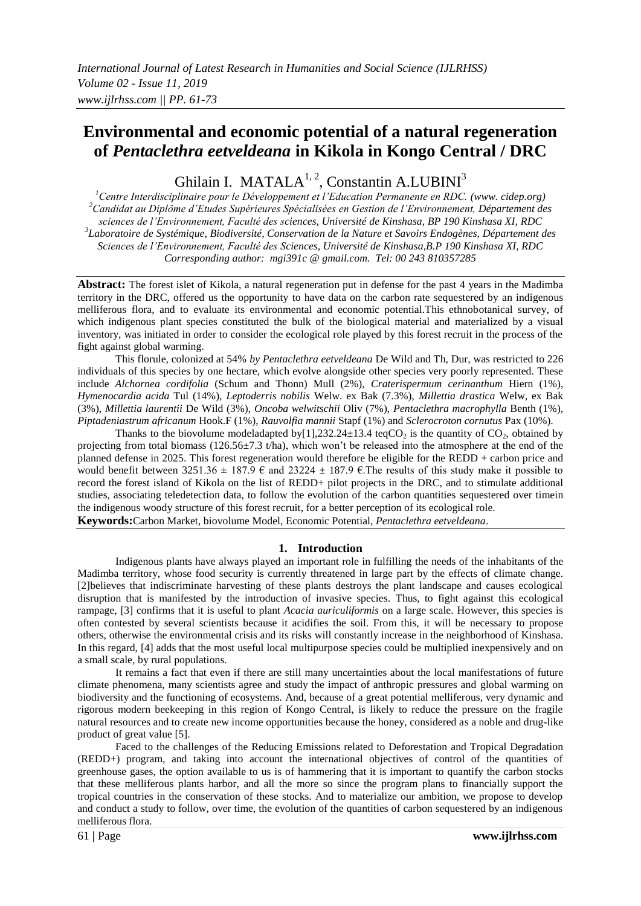# **Environmental and economic potential of a natural regeneration of** *Pentaclethra eetveldeana* **in Kikola in Kongo Central / DRC**

Ghilain I. MATALA<sup>1, 2</sup>, Constantin A.LUBINI<sup>3</sup>

*<sup>1</sup>Centre Interdisciplinaire pour le Développement et l'Education Permanente en RDC. (www. cidep.org) <sup>2</sup>Candidat au Diplôme d'Etudes Supérieures Spécialisées en Gestion de l'Environnement, Département des sciences de l'Environnement, Faculté des sciences, Université de Kinshasa, BP 190 Kinshasa XI, RDC 3 Laboratoire de Systémique, Biodiversité, Conservation de la Nature et Savoirs Endogènes, Département des Sciences de l'Environnement, Faculté des Sciences, Université de Kinshasa,B.P 190 Kinshasa XI, RDC Corresponding author: mgi391c @ gmail.com. Tel: 00 243 810357285*

**Abstract:** The forest islet of Kikola, a natural regeneration put in defense for the past 4 years in the Madimba territory in the DRC, offered us the opportunity to have data on the carbon rate sequestered by an indigenous melliferous flora, and to evaluate its environmental and economic potential.This ethnobotanical survey, of which indigenous plant species constituted the bulk of the biological material and materialized by a visual inventory, was initiated in order to consider the ecological role played by this forest recruit in the process of the fight against global warming.

This florule, colonized at 54% *by Pentaclethra eetveldeana* De Wild and Th, Dur, was restricted to 226 individuals of this species by one hectare, which evolve alongside other species very poorly represented. These include *Alchornea cordifolia* (Schum and Thonn) Mull (2%), *Craterispermum cerinanthum* Hiern (1%), *Hymenocardia acida* Tul (14%), *Leptoderris nobilis* Welw. ex Bak (7.3%), *Millettia drastica* Welw, ex Bak (3%), *Millettia laurentii* De Wild (3%), *Oncoba welwitschii* Oliv (7%), *Pentaclethra macrophylla* Benth (1%), *Piptadeniastrum africanum* Hook.F (1%), *Rauvolfia mannii* Stapf (1%) and *Sclerocroton cornutus* Pax (10%).

Thanks to the biovolume modeladapted by [1], 232.24 $\pm$ 13.4 teqCO<sub>2</sub> is the quantity of CO<sub>2</sub>, obtained by projecting from total biomass (126.56 $\pm$ 7.3 t/ha), which won't be released into the atmosphere at the end of the planned defense in 2025. This forest regeneration would therefore be eligible for the REDD + carbon price and would benefit between  $3251.36 \pm 187.9 \in \text{and } 23224 \pm 187.9 \in \text{The results of this study make it possible to}$ record the forest island of Kikola on the list of REDD+ pilot projects in the DRC, and to stimulate additional studies, associating teledetection data, to follow the evolution of the carbon quantities sequestered over timein the indigenous woody structure of this forest recruit, for a better perception of its ecological role. **Keywords:**Carbon Market, biovolume Model, Economic Potential, *Pentaclethra eetveldeana*.

## **1. Introduction**

Indigenous plants have always played an important role in fulfilling the needs of the inhabitants of the Madimba territory, whose food security is currently threatened in large part by the effects of climate change. [2]believes that indiscriminate harvesting of these plants destroys the plant landscape and causes ecological disruption that is manifested by the introduction of invasive species. Thus, to fight against this ecological rampage, [3] confirms that it is useful to plant *Acacia auriculiformis* on a large scale. However, this species is often contested by several scientists because it acidifies the soil. From this, it will be necessary to propose others, otherwise the environmental crisis and its risks will constantly increase in the neighborhood of Kinshasa. In this regard, [4] adds that the most useful local multipurpose species could be multiplied inexpensively and on a small scale, by rural populations.

It remains a fact that even if there are still many uncertainties about the local manifestations of future climate phenomena, many scientists agree and study the impact of anthropic pressures and global warming on biodiversity and the functioning of ecosystems. And, because of a great potential melliferous, very dynamic and rigorous modern beekeeping in this region of Kongo Central, is likely to reduce the pressure on the fragile natural resources and to create new income opportunities because the honey, considered as a noble and drug-like product of great value [5].

Faced to the challenges of the Reducing Emissions related to Deforestation and Tropical Degradation (REDD+) program, and taking into account the international objectives of control of the quantities of greenhouse gases, the option available to us is of hammering that it is important to quantify the carbon stocks that these melliferous plants harbor, and all the more so since the program plans to financially support the tropical countries in the conservation of these stocks. And to materialize our ambition, we propose to develop and conduct a study to follow, over time, the evolution of the quantities of carbon sequestered by an indigenous melliferous flora.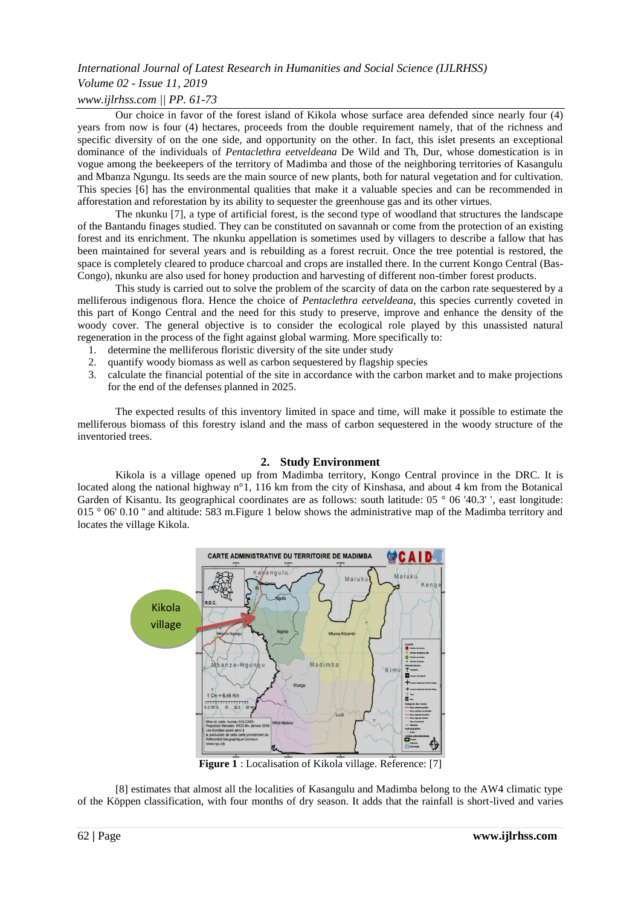## *International Journal of Latest Research in Humanities and Social Science (IJLRHSS) Volume 02 - Issue 11, 2019 www.ijlrhss.com || PP. 61-73*

Our choice in favor of the forest island of Kikola whose surface area defended since nearly four (4) years from now is four (4) hectares, proceeds from the double requirement namely, that of the richness and specific diversity of on the one side, and opportunity on the other. In fact, this islet presents an exceptional dominance of the individuals of *Pentaclethra eetveldeana* De Wild and Th, Dur, whose domestication is in vogue among the beekeepers of the territory of Madimba and those of the neighboring territories of Kasangulu and Mbanza Ngungu. Its seeds are the main source of new plants, both for natural vegetation and for cultivation. This species [6] has the environmental qualities that make it a valuable species and can be recommended in afforestation and reforestation by its ability to sequester the greenhouse gas and its other virtues.

The nkunku [7], a type of artificial forest, is the second type of woodland that structures the landscape of the Bantandu finages studied. They can be constituted on savannah or come from the protection of an existing forest and its enrichment. The nkunku appellation is sometimes used by villagers to describe a fallow that has been maintained for several years and is rebuilding as a forest recruit. Once the tree potential is restored, the space is completely cleared to produce charcoal and crops are installed there. In the current Kongo Central (Bas-Congo), nkunku are also used for honey production and harvesting of different non-timber forest products.

This study is carried out to solve the problem of the scarcity of data on the carbon rate sequestered by a melliferous indigenous flora. Hence the choice of *Pentaclethra eetveldeana*, this species currently coveted in this part of Kongo Central and the need for this study to preserve, improve and enhance the density of the woody cover. The general objective is to consider the ecological role played by this unassisted natural regeneration in the process of the fight against global warming. More specifically to:

- 1. determine the melliferous floristic diversity of the site under study
- 2. quantify woody biomass as well as carbon sequestered by flagship species
- 3. calculate the financial potential of the site in accordance with the carbon market and to make projections for the end of the defenses planned in 2025.

The expected results of this inventory limited in space and time, will make it possible to estimate the melliferous biomass of this forestry island and the mass of carbon sequestered in the woody structure of the inventoried trees.

## **2. Study Environment**

Kikola is a village opened up from Madimba territory, Kongo Central province in the DRC. It is located along the national highway n°1, 116 km from the city of Kinshasa, and about 4 km from the Botanical Garden of Kisantu. Its geographical coordinates are as follows: south latitude: 05 ° 06 '40.3' ', east longitude: 015 ° 06' 0.10 " and altitude: 583 m. Figure 1 below shows the administrative map of the Madimba territory and locates the village Kikola.



**Figure 1** : Localisation of Kikola village. Reference: [7]

[8] estimates that almost all the localities of Kasangulu and Madimba belong to the AW4 climatic type of the Köppen classification, with four months of dry season. It adds that the rainfall is short-lived and varies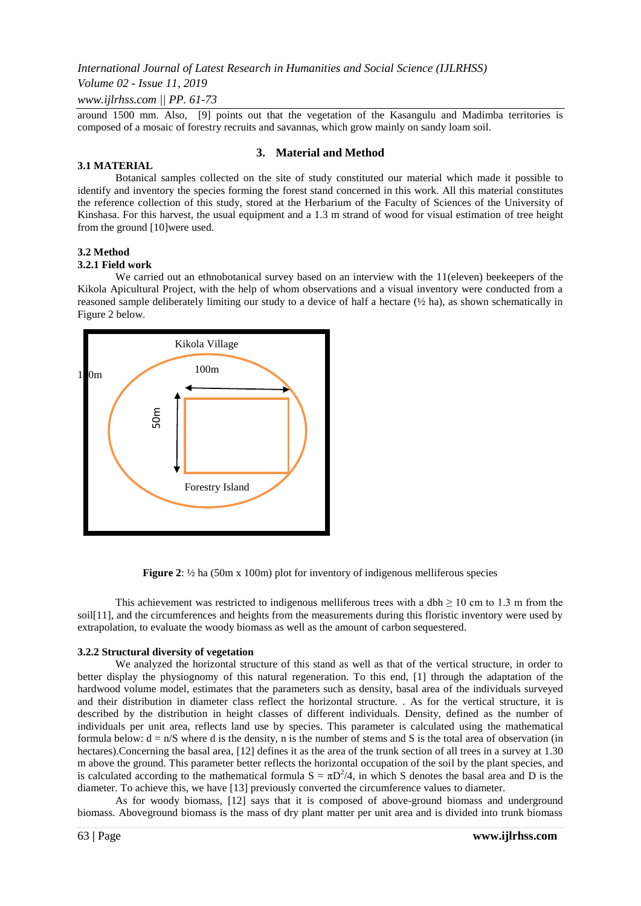## *Volume 02 - Issue 11, 2019*

*www.ijlrhss.com || PP. 61-73*

around 1500 mm. Also, [9] points out that the vegetation of the Kasangulu and Madimba territories is composed of a mosaic of forestry recruits and savannas, which grow mainly on sandy loam soil.

## **3. Material and Method**

#### **3.1 MATERIAL**

Botanical samples collected on the site of study constituted our material which made it possible to identify and inventory the species forming the forest stand concerned in this work. All this material constitutes the reference collection of this study, stored at the Herbarium of the Faculty of Sciences of the University of Kinshasa. For this harvest, the usual equipment and a 1.3 m strand of wood for visual estimation of tree height from the ground [10]were used.

#### **3.2 Method**

#### **3.2.1 Field work**

We carried out an ethnobotanical survey based on an interview with the 11(eleven) beekeepers of the Kikola Apicultural Project, with the help of whom observations and a visual inventory were conducted from a reasoned sample deliberately limiting our study to a device of half a hectare (½ ha), as shown schematically in Figure 2 below.





This achievement was restricted to indigenous melliferous trees with a dbh  $\geq 10$  cm to 1.3 m from the soil[11], and the circumferences and heights from the measurements during this floristic inventory were used by extrapolation, to evaluate the woody biomass as well as the amount of carbon sequestered.

#### **3.2.2 Structural diversity of vegetation**

We analyzed the horizontal structure of this stand as well as that of the vertical structure, in order to better display the physiognomy of this natural regeneration. To this end, [1] through the adaptation of the hardwood volume model, estimates that the parameters such as density, basal area of the individuals surveyed and their distribution in diameter class reflect the horizontal structure. . As for the vertical structure, it is described by the distribution in height classes of different individuals. Density, defined as the number of individuals per unit area, reflects land use by species. This parameter is calculated using the mathematical formula below:  $d = n/S$  where d is the density, n is the number of stems and S is the total area of observation (in hectares). Concerning the basal area, [12] defines it as the area of the trunk section of all trees in a survey at 1.30 m above the ground. This parameter better reflects the horizontal occupation of the soil by the plant species, and is calculated according to the mathematical formula  $S = \pi D^2/4$ , in which S denotes the basal area and D is the diameter. To achieve this, we have [13] previously converted the circumference values to diameter.

As for woody biomass, [12] says that it is composed of above-ground biomass and underground biomass. Aboveground biomass is the mass of dry plant matter per unit area and is divided into trunk biomass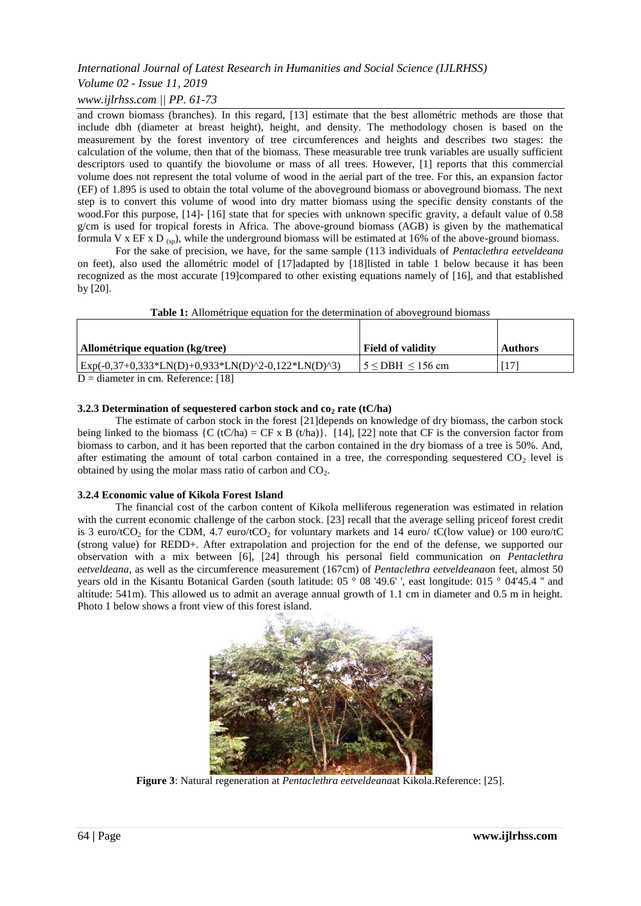## *Volume 02 - Issue 11, 2019*

## *www.ijlrhss.com || PP. 61-73*

and crown biomass (branches). In this regard, [13] estimate that the best allométric methods are those that include dbh (diameter at breast height), height, and density. The methodology chosen is based on the measurement by the forest inventory of tree circumferences and heights and describes two stages: the calculation of the volume, then that of the biomass. These measurable tree trunk variables are usually sufficient descriptors used to quantify the biovolume or mass of all trees. However, [1] reports that this commercial volume does not represent the total volume of wood in the aerial part of the tree. For this, an expansion factor (EF) of 1.895 is used to obtain the total volume of the aboveground biomass or aboveground biomass. The next step is to convert this volume of wood into dry matter biomass using the specific density constants of the wood.For this purpose, [14]- [16] state that for species with unknown specific gravity, a default value of 0.58 g/cm is used for tropical forests in Africa. The above-ground biomass (AGB) is given by the mathematical formula V x EF x D  $_{\rm (sp)}$ , while the underground biomass will be estimated at 16% of the above-ground biomass.

For the sake of precision, we have, for the same sample (113 individuals of *Pentaclethra eetveldeana* on feet), also used the allométric model of [17]adapted by [18]listed in table 1 below because it has been recognized as the most accurate [19]compared to other existing equations namely of [16], and that established by [20].

| <b>Table 1:</b> Allométrique equation for the determination of above ground biomass |                          |                |  |  |  |  |
|-------------------------------------------------------------------------------------|--------------------------|----------------|--|--|--|--|
|                                                                                     |                          |                |  |  |  |  |
| Allométrique equation (kg/tree)                                                     | <b>Field of validity</b> | <b>Authors</b> |  |  |  |  |
| $\text{Exp}(-0,37+0,333*LN(D)+0,933*LN(D)^2-0,122*LN(D)^3)$                         | $15 <$ DBH $\leq 156$ cm | 171            |  |  |  |  |
| $D =$ diameter in cm. Reference: [18]                                               |                          |                |  |  |  |  |

#### **3.2.3 Determination of sequestered carbon stock and co<sup>2</sup> rate (tC/ha)**

The estimate of carbon stock in the forest [21]depends on knowledge of dry biomass, the carbon stock being linked to the biomass  ${C (tC/ha) = CF \times B (t/ha)}$ . [14], [22] note that CF is the conversion factor from biomass to carbon, and it has been reported that the carbon contained in the dry biomass of a tree is 50%. And, after estimating the amount of total carbon contained in a tree, the corresponding sequestered  $CO<sub>2</sub>$  level is obtained by using the molar mass ratio of carbon and  $CO<sub>2</sub>$ .

#### **3.2.4 Economic value of Kikola Forest Island**

The financial cost of the carbon content of Kikola melliferous regeneration was estimated in relation with the current economic challenge of the carbon stock. [23] recall that the average selling priceof forest credit is 3 euro/tCO<sub>2</sub> for the CDM, 4.7 euro/tCO<sub>2</sub> for voluntary markets and 14 euro/ tC(low value) or 100 euro/tC (strong value) for REDD+. After extrapolation and projection for the end of the defense, we supported our observation with a mix between [6], [24] through his personal field communication on *Pentaclethra eetveldeana*, as well as the circumference measurement (167cm) of *Pentaclethra eetveldeana*on feet, almost 50 years old in the Kisantu Botanical Garden (south latitude: 05 ° 08 '49.6' ', east longitude: 015 ° 04'45.4 '' and altitude: 541m). This allowed us to admit an average annual growth of 1.1 cm in diameter and 0.5 m in height. Photo 1 below shows a front view of this forest island.



**Figure 3**: Natural regeneration at *Pentaclethra eetveldeana*at Kikola.Reference: [25].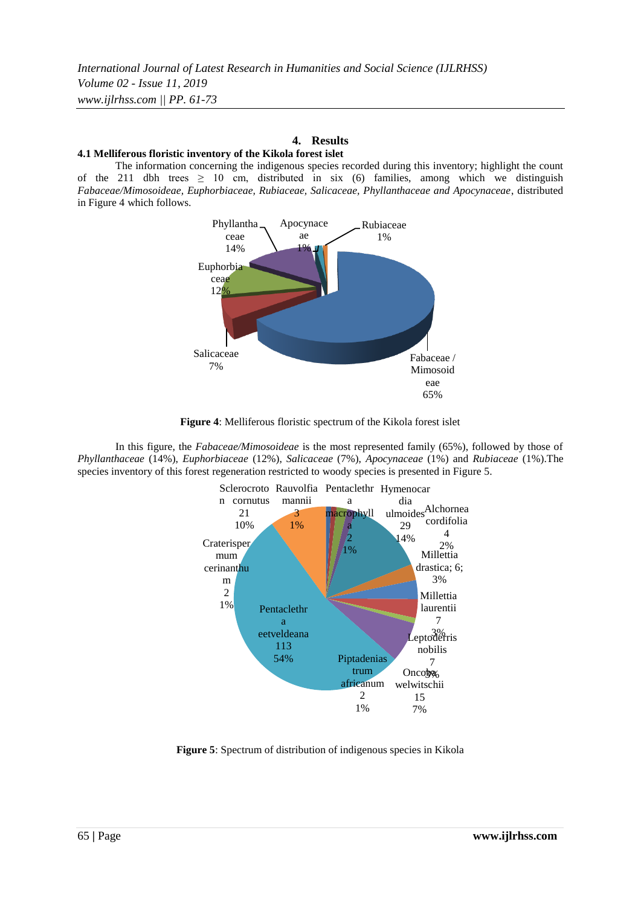## **4. Results**

#### **4.1 Melliferous floristic inventory of the Kikola forest islet**

The information concerning the indigenous species recorded during this inventory; highlight the count of the 211 dbh trees  $\geq$  10 cm, distributed in six (6) families, among which we distinguish *Fabaceae/Mimosoideae, Euphorbiaceae, Rubiaceae, Salicaceae, Phyllanthaceae and Apocynaceae*, distributed in Figure 4 which follows.



**Figure 4**: Melliferous floristic spectrum of the Kikola forest islet

In this figure, the *Fabaceae/Mimosoideae* is the most represented family (65%), followed by those of *Phyllanthaceae* (14%), *Euphorbiaceae* (12%), *Salicaceae* (7%), *Apocynaceae* (1%) and *Rubiaceae* (1%).The species inventory of this forest regeneration restricted to woody species is presented in Figure 5.



**Figure 5**: Spectrum of distribution of indigenous species in Kikola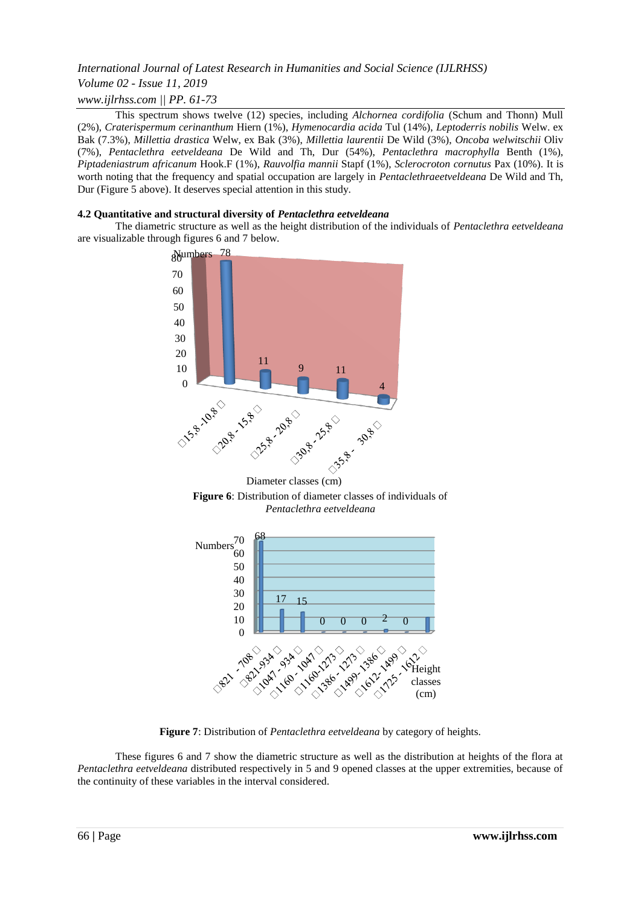## *International Journal of Latest Research in Humanities and Social Science (IJLRHSS) Volume 02 - Issue 11, 2019 www.ijlrhss.com || PP. 61-73*

This spectrum shows twelve (12) species, including *Alchornea cordifolia* (Schum and Thonn) Mull (2%), *Craterispermum cerinanthum* Hiern (1%), *Hymenocardia acida* Tul (14%), *Leptoderris nobilis* Welw. ex Bak (7.3%), *Millettia drastica* Welw, ex Bak (3%), *Millettia laurentii* De Wild (3%), *Oncoba welwitschii* Oliv (7%), *Pentaclethra eetveldeana* De Wild and Th, Dur (54%), *Pentaclethra macrophylla* Benth (1%), *Piptadeniastrum africanum* Hook.F (1%), *Rauvolfia mannii* Stapf (1%), *Sclerocroton cornutus* Pax (10%). It is worth noting that the frequency and spatial occupation are largely in *Pentaclethraeetveldeana* De Wild and Th, Dur (Figure 5 above). It deserves special attention in this study.

## **4.2 Quantitative and structural diversity of** *Pentaclethra eetveldeana*

The diametric structure as well as the height distribution of the individuals of *Pentaclethra eetveldeana* are visualizable through figures 6 and 7 below.



Diameter classes (cm)





**Figure 7**: Distribution of *Pentaclethra eetveldeana* by category of heights.

These figures 6 and 7 show the diametric structure as well as the distribution at heights of the flora at *Pentaclethra eetveldeana* distributed respectively in 5 and 9 opened classes at the upper extremities, because of the continuity of these variables in the interval considered.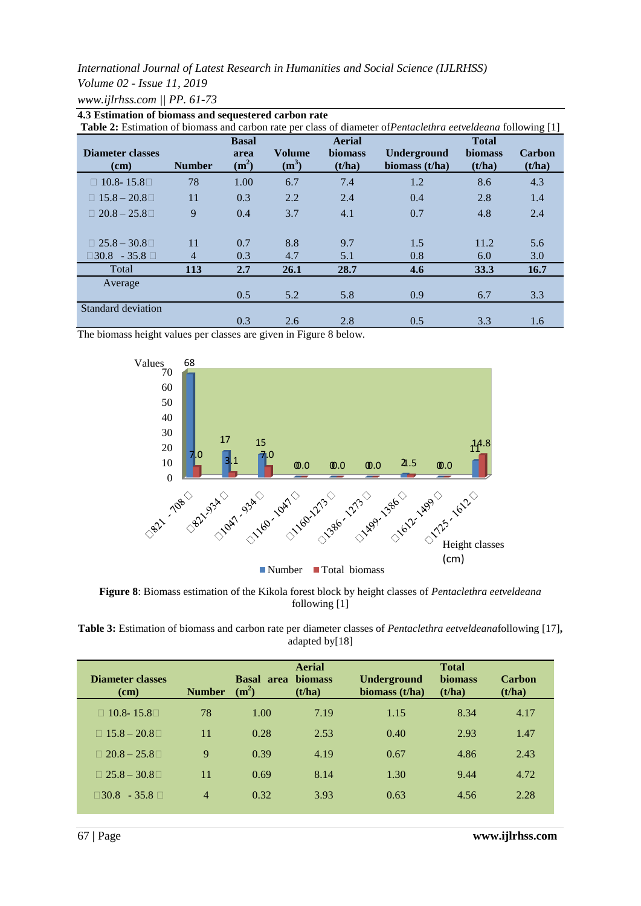*Volume 02 - Issue 11, 2019*

*www.ijlrhss.com || PP. 61-73*

| <b>Table 2:</b> Estimation of biomass and carbon rate per class of diameter of <i>Pentaclethra eetveldeana</i> following [1] |                |              |               |                |                |                |               |  |
|------------------------------------------------------------------------------------------------------------------------------|----------------|--------------|---------------|----------------|----------------|----------------|---------------|--|
|                                                                                                                              |                | <b>Basal</b> |               | <b>Aerial</b>  |                | <b>Total</b>   |               |  |
| Diameter classes                                                                                                             |                | area         | <b>Volume</b> | <b>biomass</b> | Underground    | <b>biomass</b> | <b>Carbon</b> |  |
| (cm)                                                                                                                         | <b>Number</b>  | $(m^2)$      | $(m^3)$       | (t/ha)         | biomass (t/ha) | (t/ha)         | (t/ha)        |  |
| $\Box$ 10.8-15.8 $\Box$                                                                                                      | 78             | 1.00         | 6.7           | 7.4            | 1.2            | 8.6            | 4.3           |  |
| $\Box$ 15.8 – 20.8 $\Box$                                                                                                    | 11             | 0.3          | 2.2           | 2.4            | 0.4            | 2.8            | 1.4           |  |
| $\Box$ 20.8 – 25.8 $\Box$                                                                                                    | 9              | 0.4          | 3.7           | 4.1            | 0.7            | 4.8            | 2.4           |  |
|                                                                                                                              |                |              |               |                |                |                |               |  |
| $\Box$ 25.8 – 30.8 $\Box$                                                                                                    | 11             | 0.7          | 8.8           | 9.7            | 1.5            | 11.2           | 5.6           |  |
| $\Box 30.8 - 35.8 \Box$                                                                                                      | $\overline{4}$ | 0.3          | 4.7           | 5.1            | 0.8            | 6.0            | 3.0           |  |
| Total                                                                                                                        | 113            | 2.7          | 26.1          | 28.7           | 4.6            | 33.3           | <b>16.7</b>   |  |
| Average                                                                                                                      |                |              |               |                |                |                |               |  |
|                                                                                                                              |                | 0.5          | 5.2           | 5.8            | 0.9            | 6.7            | 3.3           |  |
| Standard deviation                                                                                                           |                |              |               |                |                |                |               |  |
|                                                                                                                              |                | 0.3          | 2.6           | 2.8            | 0.5            | 3.3            | 1.6           |  |



The biomass height values per classes are given in Figure 8 below.



**Figure 8**: Biomass estimation of the Kikola forest block by height classes of *Pentaclethra eetveldeana* following [1]

**Table 3:** Estimation of biomass and carbon rate per diameter classes of *Pentaclethra eetveldeana*following [17]**,**  adapted by[18]

| Diameter classes<br>(cm)  | <b>Number</b> | <b>Basal</b> area<br>(m <sup>2</sup> ) | <b>Aerial</b><br><b>biomass</b><br>(t/ha) | Underground<br>biomass (t/ha) | <b>Total</b><br><b>biomass</b><br>(t/ha) | Carbon<br>(t/ha) |
|---------------------------|---------------|----------------------------------------|-------------------------------------------|-------------------------------|------------------------------------------|------------------|
| $\Box$ 10.8-15.8 $\Box$   | 78            | 1.00                                   | 7.19                                      | 1.15                          | 8.34                                     | 4.17             |
| $\Box$ 15.8 – 20.8 $\Box$ | 11            | 0.28                                   | 2.53                                      | 0.40                          | 2.93                                     | 1.47             |
| $\Box$ 20.8 – 25.8 $\Box$ | 9             | 0.39                                   | 4.19                                      | 0.67                          | 4.86                                     | 2.43             |
| $\Box$ 25.8 – 30.8 $\Box$ | 11            | 0.69                                   | 8.14                                      | 1.30                          | 9.44                                     | 4.72             |
| $\Box 30.8 - 35.8 \Box$   | 4             | 0.32                                   | 3.93                                      | 0.63                          | 4.56                                     | 2.28             |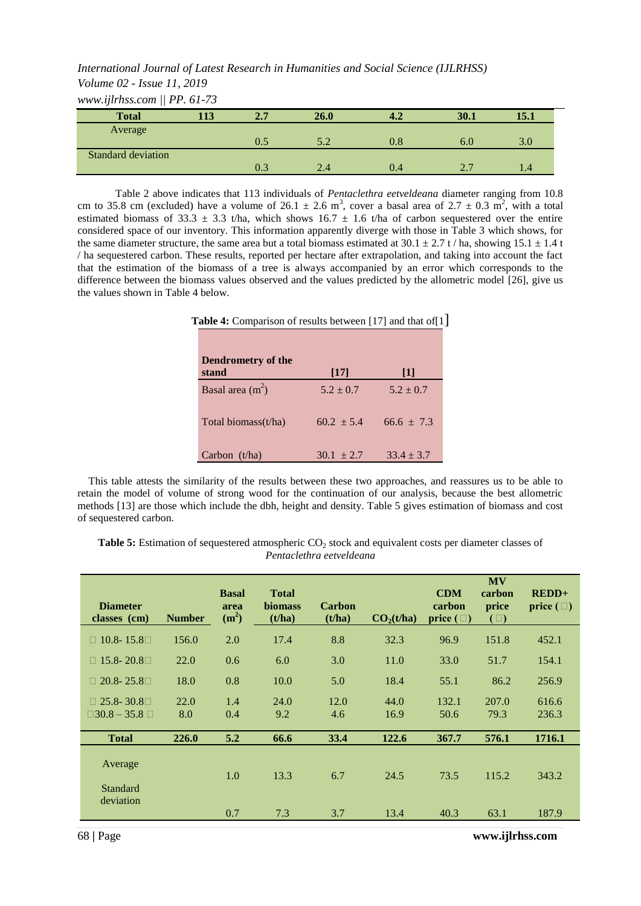*International Journal of Latest Research in Humanities and Social Science (IJLRHSS) Volume 02 - Issue 11, 2019*

*www.ijlrhss.com || PP. 61-73*

| <b>Total</b>       | 113 | 2.7       | 26.0 | 4.2     | 30.1 | 15.1 |
|--------------------|-----|-----------|------|---------|------|------|
| Average            |     |           |      |         |      |      |
|                    |     | $\rm 0.5$ | 5.2  | $0.8\,$ | 6.0  | 3.0  |
| Standard deviation |     |           |      |         |      |      |
|                    |     | $0.3\,$   | 2.4  | 0.4     | 2.7  |      |

Table 2 above indicates that 113 individuals of *Pentaclethra eetveldeana* diameter ranging from 10.8 cm to 35.8 cm (excluded) have a volume of 26.1  $\pm$  2.6 m<sup>3</sup>, cover a basal area of 2.7  $\pm$  0.3 m<sup>2</sup>, with a total estimated biomass of 33.3  $\pm$  3.3 t/ha, which shows 16.7  $\pm$  1.6 t/ha of carbon sequestered over the entire considered space of our inventory. This information apparently diverge with those in Table 3 which shows, for the same diameter structure, the same area but a total biomass estimated at  $30.1 \pm 2.7$  t / ha, showing  $15.1 \pm 1.4$  t / ha sequestered carbon. These results, reported per hectare after extrapolation, and taking into account the fact that the estimation of the biomass of a tree is always accompanied by an error which corresponds to the difference between the biomass values observed and the values predicted by the allometric model [26], give us the values shown in Table 4 below.

| Table 4: Comparison of results between [17] and that of [1] |                 |                |  |  |  |  |
|-------------------------------------------------------------|-----------------|----------------|--|--|--|--|
|                                                             |                 |                |  |  |  |  |
| Dendrometry of the                                          |                 |                |  |  |  |  |
| stand                                                       | [17]            | 11             |  |  |  |  |
| Basal area $(m2)$                                           | $5.2 + 0.7$     | $5.2 + 0.7$    |  |  |  |  |
|                                                             |                 |                |  |  |  |  |
| Total biomass(t/ha)                                         | $60.2 \pm 5.4$  | $66.6 + 7.3$   |  |  |  |  |
|                                                             |                 |                |  |  |  |  |
|                                                             |                 | $33.4 \pm 3.7$ |  |  |  |  |
|                                                             | Carbon $(t/ha)$ | $30.1 + 2.7$   |  |  |  |  |

This table attests the similarity of the results between these two approaches, and reassures us to be able to retain the model of volume of strong wood for the continuation of our analysis, because the best allometric methods [13] are those which include the dbh, height and density. Table 5 gives estimation of biomass and cost of sequestered carbon.

**Table 5:** Estimation of sequestered atmospheric CO<sub>2</sub> stock and equivalent costs per diameter classes of *Pentaclethra eetveldeana*

| <b>Diameter</b><br>classes (cm)                    | <b>Number</b> | <b>Basal</b><br>area<br>(m <sup>2</sup> ) | <b>Total</b><br><b>biomass</b><br>(t/ha) | <b>Carbon</b><br>(t/ha) | CO <sub>2</sub> (t/ha) | <b>CDM</b><br>carbon<br>price $(\Box)$ | <b>MV</b><br>carbon<br>price<br>$(\Box)$ | $REDD+$<br>price $(\Box)$ |
|----------------------------------------------------|---------------|-------------------------------------------|------------------------------------------|-------------------------|------------------------|----------------------------------------|------------------------------------------|---------------------------|
| $\Box$ 10.8 - 15.8 $\Box$                          | 156.0         | 2.0                                       | 17.4                                     | 8.8                     | 32.3                   | 96.9                                   | 151.8                                    | 452.1                     |
| $\Box$ 15.8-20.8 $\Box$                            | 22.0          | 0.6                                       | 6.0                                      | 3.0                     | 11.0                   | 33.0                                   | 51.7                                     | 154.1                     |
| $\Box$ 20.8-25.8 $\Box$                            | 18.0          | 0.8                                       | 10.0                                     | 5.0                     | 18.4                   | 55.1                                   | 86.2                                     | 256.9                     |
| $\Box$ 25.8-30.8 $\Box$<br>$\Box 30.8 - 35.8 \Box$ | 22.0<br>8.0   | 1.4<br>0.4                                | 24.0<br>9.2                              | 12.0<br>4.6             | 44.0<br>16.9           | 132.1<br>50.6                          | 207.0<br>79.3                            | 616.6<br>236.3            |
| <b>Total</b>                                       | 226.0         | 5.2                                       | 66.6                                     | 33.4                    | 122.6                  | 367.7                                  | 576.1                                    | 1716.1                    |
| Average<br>Standard                                |               | 1.0                                       | 13.3                                     | 6.7                     | 24.5                   | 73.5                                   | 115.2                                    | 343.2                     |
| deviation                                          |               | 0.7                                       | 7.3                                      | 3.7                     | 13.4                   | 40.3                                   | 63.1                                     | 187.9                     |

68 **|** Page **www.ijlrhss.com**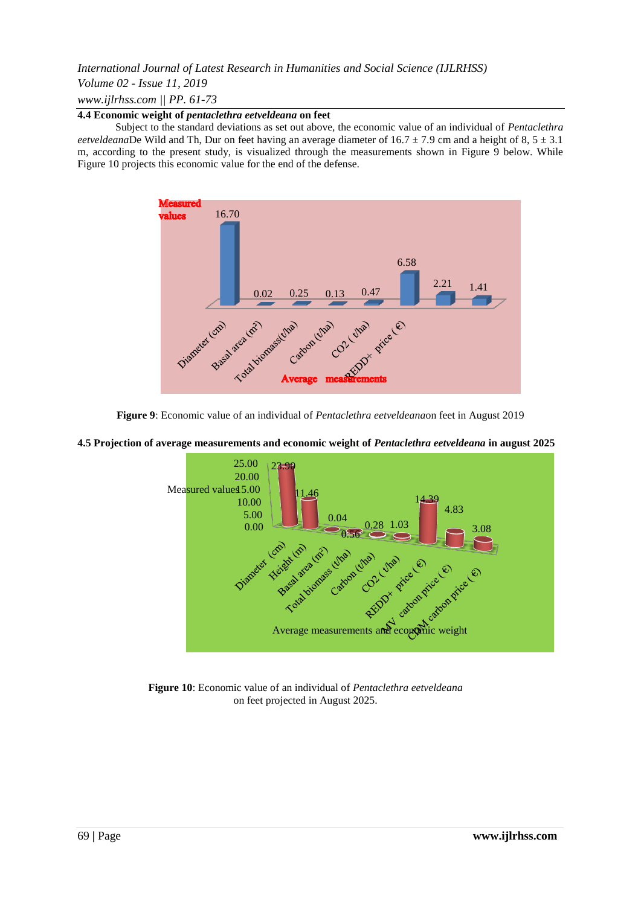## *Volume 02 - Issue 11, 2019*

*www.ijlrhss.com || PP. 61-73*

## **4.4 Economic weight of** *pentaclethra eetveldeana* **on feet**

Subject to the standard deviations as set out above, the economic value of an individual of *Pentaclethra eetveldeana*De Wild and Th, Dur on feet having an average diameter of  $16.7 \pm 7.9$  cm and a height of 8,  $5 \pm 3.1$ m, according to the present study, is visualized through the measurements shown in Figure 9 below. While Figure 10 projects this economic value for the end of the defense.





#### **4.5 Projection of average measurements and economic weight of** *Pentaclethra eetveldeana* **in august 2025**



**Figure 10**: Economic value of an individual of *Pentaclethra eetveldeana* on feet projected in August 2025.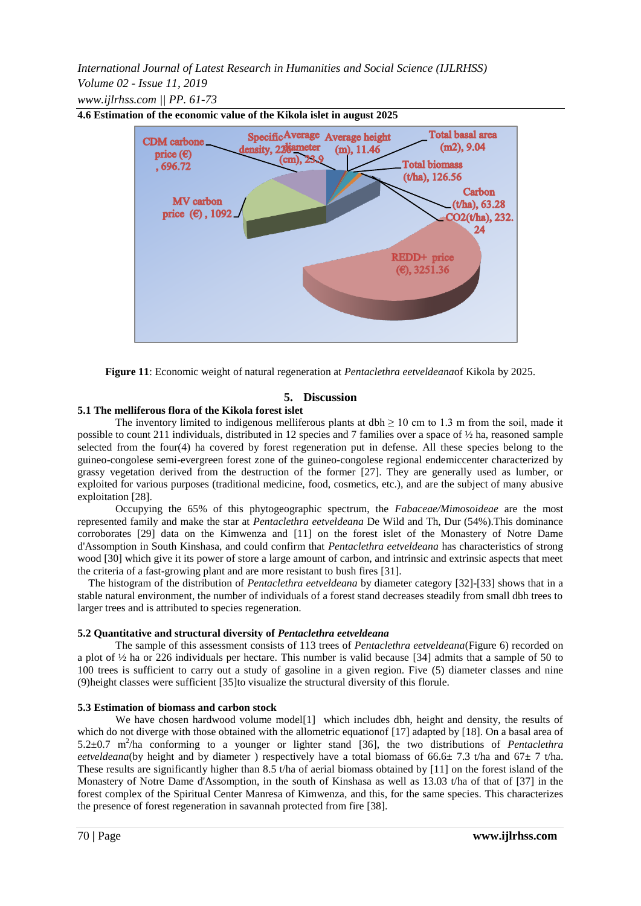*International Journal of Latest Research in Humanities and Social Science (IJLRHSS) Volume 02 - Issue 11, 2019 www.ijlrhss.com || PP. 61-73*



**4.6 Estimation of the economic value of the Kikola islet in august 2025**

**Figure 11**: Economic weight of natural regeneration at *Pentaclethra eetveldeana*of Kikola by 2025.

#### **5. Discussion**

## **5.1 The melliferous flora of the Kikola forest islet**

The inventory limited to indigenous melliferous plants at dbh  $\geq 10$  cm to 1.3 m from the soil, made it possible to count 211 individuals, distributed in 12 species and 7 families over a space of ½ ha, reasoned sample selected from the four(4) ha covered by forest regeneration put in defense. All these species belong to the guineo-congolese semi-evergreen forest zone of the guineo-congolese regional endemiccenter characterized by grassy vegetation derived from the destruction of the former [27]. They are generally used as lumber, or exploited for various purposes (traditional medicine, food, cosmetics, etc.), and are the subject of many abusive exploitation [28].

Occupying the 65% of this phytogeographic spectrum, the *Fabaceae/Mimosoideae* are the most represented family and make the star at *Pentaclethra eetveldeana* De Wild and Th, Dur (54%).This dominance corroborates [29] data on the Kimwenza and [11] on the forest islet of the Monastery of Notre Dame d'Assomption in South Kinshasa, and could confirm that *Pentaclethra eetveldeana* has characteristics of strong wood [30] which give it its power of store a large amount of carbon, and intrinsic and extrinsic aspects that meet the criteria of a fast-growing plant and are more resistant to bush fires [31].

The histogram of the distribution of *Pentaclethra eetveldeana* by diameter category [32]-[33] shows that in a stable natural environment, the number of individuals of a forest stand decreases steadily from small dbh trees to larger trees and is attributed to species regeneration.

#### **5.2 Quantitative and structural diversity of** *Pentaclethra eetveldeana*

The sample of this assessment consists of 113 trees of *Pentaclethra eetveldeana*(Figure 6) recorded on a plot of ½ ha or 226 individuals per hectare. This number is valid because [34] admits that a sample of 50 to 100 trees is sufficient to carry out a study of gasoline in a given region. Five (5) diameter classes and nine (9)height classes were sufficient [35]to visualize the structural diversity of this florule.

#### **5.3 Estimation of biomass and carbon stock**

We have chosen hardwood volume model<sup>[1]</sup> which includes dbh, height and density, the results of which do not diverge with those obtained with the allometric equationof [17] adapted by [18]. On a basal area of 5.2 $\pm$ 0.7 m<sup>2</sup>/ha conforming to a younger or lighter stand [36], the two distributions of *Pentaclethra eetveldeana*(by height and by diameter) respectively have a total biomass of  $66.6 \pm 7.3$  t/ha and  $67 \pm 7$  t/ha. These results are significantly higher than 8.5 t/ha of aerial biomass obtained by  $[11]$  on the forest island of the Monastery of Notre Dame d'Assomption, in the south of Kinshasa as well as 13.03 t/ha of that of [37] in the forest complex of the Spiritual Center Manresa of Kimwenza, and this, for the same species. This characterizes the presence of forest regeneration in savannah protected from fire [38].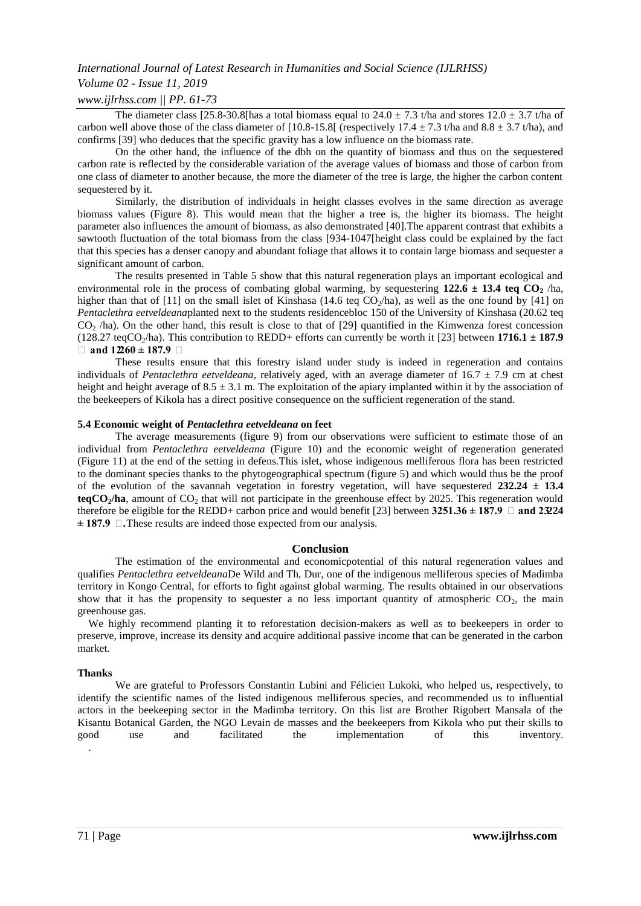## *Volume 02 - Issue 11, 2019*

#### *www.ijlrhss.com || PP. 61-73*

The diameter class [25.8-30.8[has a total biomass equal to  $24.0 \pm 7.3$  t/ha and stores  $12.0 \pm 3.7$  t/ha of carbon well above those of the class diameter of [10.8-15.8] (respectively 17.4  $\pm$  7.3 t/ha and 8.8  $\pm$  3.7 t/ha), and confirms [39] who deduces that the specific gravity has a low influence on the biomass rate.

On the other hand, the influence of the dbh on the quantity of biomass and thus on the sequestered carbon rate is reflected by the considerable variation of the average values of biomass and those of carbon from one class of diameter to another because, the more the diameter of the tree is large, the higher the carbon content sequestered by it.

Similarly, the distribution of individuals in height classes evolves in the same direction as average biomass values (Figure 8). This would mean that the higher a tree is, the higher its biomass. The height parameter also influences the amount of biomass, as also demonstrated [40].The apparent contrast that exhibits a sawtooth fluctuation of the total biomass from the class [934-1047[height class could be explained by the fact that this species has a denser canopy and abundant foliage that allows it to contain large biomass and sequester a significant amount of carbon.

The results presented in Table 5 show that this natural regeneration plays an important ecological and environmental role in the process of combating global warming, by sequestering  $122.6 \pm 13.4$  teq  $CO<sub>2</sub>$  /ha, higher than that of [11] on the small islet of Kinshasa (14.6 teq  $CO_2/ha$ ), as well as the one found by [41] on *Pentaclethra eetveldeana*planted next to the students residencebloc 150 of the University of Kinshasa (20.62 teq  $CO<sub>2</sub>$  /ha). On the other hand, this result is close to that of [29] quantified in the Kimwenza forest concession (128.27 teqCO<sub>2</sub>/ha). This contribution to REDD+ efforts can currently be worth it [23] between **1716.1**  $\pm$  **187.9 € and 12260 ± 187.9 €**

These results ensure that this forestry island under study is indeed in regeneration and contains individuals of *Pentaclethra eetveldeana*, relatively aged, with an average diameter of 16.7 ± 7.9 cm at chest height and height average of  $8.5 \pm 3.1$  m. The exploitation of the apiary implanted within it by the association of the beekeepers of Kikola has a direct positive consequence on the sufficient regeneration of the stand.

#### **5.4 Economic weight of** *Pentaclethra eetveldeana* **on feet**

The average measurements (figure 9) from our observations were sufficient to estimate those of an individual from *Pentaclethra eetveldeana* (Figure 10) and the economic weight of regeneration generated (Figure 11) at the end of the setting in defens.This islet, whose indigenous melliferous flora has been restricted to the dominant species thanks to the phytogeographical spectrum (figure 5) and which would thus be the proof of the evolution of the savannah vegetation in forestry vegetation, will have sequestered **232.24 ± 13.4**   $\textbf{teqCO}_2/\textbf{ha}$ , amount of CO<sub>2</sub> that will not participate in the greenhouse effect by 2025. This regeneration would therefore be eligible for the REDD+ carbon price and would benefit [23] between  $3251.36 \pm 187.9$   $\Box$  and  $2324$ **± 187.9 €.**These results are indeed those expected from our analysis.

#### **Conclusion**

The estimation of the environmental and economicpotential of this natural regeneration values and qualifies *Pentaclethra eetveldeana*De Wild and Th, Dur, one of the indigenous melliferous species of Madimba territory in Kongo Central, for efforts to fight against global warming. The results obtained in our observations show that it has the propensity to sequester a no less important quantity of atmospheric  $CO<sub>2</sub>$ , the main greenhouse gas.

We highly recommend planting it to reforestation decision-makers as well as to beekeepers in order to preserve, improve, increase its density and acquire additional passive income that can be generated in the carbon market.

#### **Thanks**

We are grateful to Professors Constantin Lubini and Félicien Lukoki, who helped us, respectively, to identify the scientific names of the listed indigenous melliferous species, and recommended us to influential actors in the beekeeping sector in the Madimba territory. On this list are Brother Rigobert Mansala of the Kisantu Botanical Garden, the NGO Levain de masses and the beekeepers from Kikola who put their skills to good use and facilitated the implementation of this inventory. .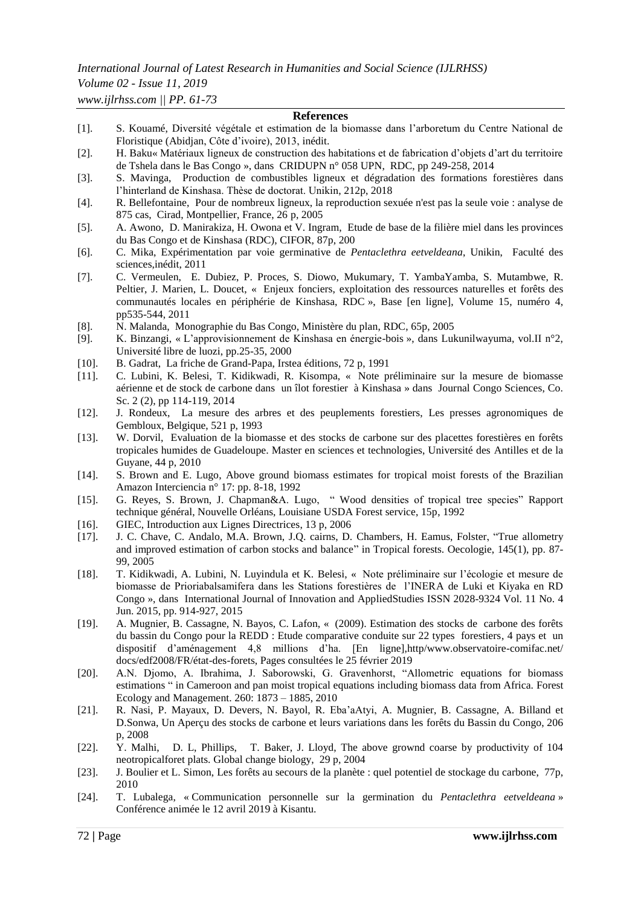## *Volume 02 - Issue 11, 2019*

*www.ijlrhss.com || PP. 61-73*

#### **References**

- [1]. S. Kouamé, Diversité végétale et estimation de la biomasse dans l'arboretum du Centre National de Floristique (Abidjan, Côte d'ivoire), 2013, inédit.
- [2]. H. Baku« Matériaux ligneux de construction des habitations et de fabrication d'objets d'art du territoire de Tshela dans le Bas Congo », dans CRIDUPN n° 058 UPN, RDC, pp 249-258, 2014
- [3]. S. Mavinga, Production de combustibles ligneux et dégradation des formations forestières dans l'hinterland de Kinshasa. Thèse de doctorat. Unikin, 212p, 2018
- [4]. R. Bellefontaine, Pour de nombreux ligneux, la reproduction sexuée n'est pas la seule voie : analyse de 875 cas, Cirad, Montpellier, France, 26 p, 2005
- [5]. A. Awono, D. Manirakiza, H. Owona et V. Ingram, Etude de base de la filière miel dans les provinces du Bas Congo et de Kinshasa (RDC), CIFOR, 87p, 200
- [6]. C. Mika, Expérimentation par voie germinative de *Pentaclethra eetveldeana*, Unikin, Faculté des sciences,inédit, 2011
- [7]. C. Vermeulen, E. Dubiez, P. Proces, S. Diowo, Mukumary, T. YambaYamba, S. Mutambwe, R. Peltier, J. Marien, L. Doucet, « Enjeux fonciers, exploitation des ressources naturelles et forêts des communautés locales en périphérie de Kinshasa, RDC », Base [en ligne], Volume 15, numéro 4, pp535-544, 2011
- [8]. N. Malanda, Monographie du Bas Congo, Ministère du plan, RDC, 65p, 2005
- [9]. K. Binzangi, « L'approvisionnement de Kinshasa en énergie-bois », dans Lukunilwayuma, vol.II n°2, Université libre de luozi, pp.25-35, 2000
- [10]. B[. Gadrat,](http://www.designvegetal.com/) La friche de Grand-Papa, Irstea éditions, 72 p, 1991
- [11]. C. Lubini, K. Belesi, T. Kidikwadi, R. Kisompa, « Note préliminaire sur la mesure de biomasse aérienne et de stock de carbone dans un îlot forestier à Kinshasa » dans Journal Congo Sciences, Co. Sc. 2 (2), pp 114-119, 2014
- [12]. J. Rondeux, La mesure des arbres et des peuplements forestiers, Les presses agronomiques de Gembloux, Belgique, 521 p, 1993
- [13]. W. Dorvil, Evaluation de la biomasse et des stocks de carbone sur des placettes forestières en forêts tropicales humides de Guadeloupe. Master en sciences et technologies, Université des Antilles et de la Guyane, 44 p, 2010
- [14]. S. Brown and E. Lugo, Above ground biomass estimates for tropical moist forests of the Brazilian Amazon Interciencia n° 17: pp. 8-18, 1992
- [15]. G. Reyes, S. Brown, J. Chapman&A. Lugo, " Wood densities of tropical tree species" Rapport technique général, Nouvelle Orléans, Louisiane USDA Forest service, 15p, 1992
- [16]. GIEC, Introduction aux Lignes Directrices, 13 p, 2006
- [17]. J. C. Chave, C. Andalo, M.A. Brown, J.Q. cairns, D. Chambers, H. Eamus, Folster, "True allometry and improved estimation of carbon stocks and balance" in Tropical forests. Oecologie, 145(1), pp. 87- 99, 2005
- [18]. T. Kidikwadi, A. Lubini, N. Luyindula et K. Belesi, « Note préliminaire sur l'écologie et mesure de biomasse de Prioriabalsamifera dans les Stations forestières de l'INERA de Luki et Kiyaka en RD Congo », dans International Journal of Innovation and AppliedStudies ISSN 2028-9324 Vol. 11 No. 4 Jun. 2015, pp. 914-927, 2015
- [19]. A. Mugnier, B. Cassagne, N. Bayos, C. Lafon, « (2009). Estimation des stocks de carbone des forêts du bassin du Congo pour la REDD : Etude comparative conduite sur 22 types forestiers, 4 pays et un dispositif d'aménagement 4,8 millions d'ha. [En ligne],http/www.observatoire-comifac.net/ docs/edf2008/FR/état-des-forets, Pages consultées le 25 février 2019
- [20]. A.N. Djomo, A. Ibrahima, J. Saborowski, G. Gravenhorst, "Allometric equations for biomass estimations " in Cameroon and pan moist tropical equations including biomass data from Africa. Forest Ecology and Management. 260: 1873 – 1885, 2010
- [21]. R. Nasi, P. Mayaux, D. Devers, N. Bayol, R. Eba'aAtyi, A. Mugnier, B. Cassagne, A. Billand et D.Sonwa, Un Aperçu des stocks de carbone et leurs variations dans les forêts du Bassin du Congo, 206 p, 2008
- [22]. Y. Malhi, D. L, Phillips, T. Baker, J. Lloyd, The above grownd coarse by productivity of 104 neotropicalforet plats. Global change biology, 29 p, 2004
- [23]. J. Boulier et L. Simon, Les forêts au secours de la planète : quel potentiel de stockage du carbone, 77p, 2010
- [24]. T. Lubalega, « Communication personnelle sur la germination du *Pentaclethra eetveldeana* » Conférence animée le 12 avril 2019 à Kisantu.